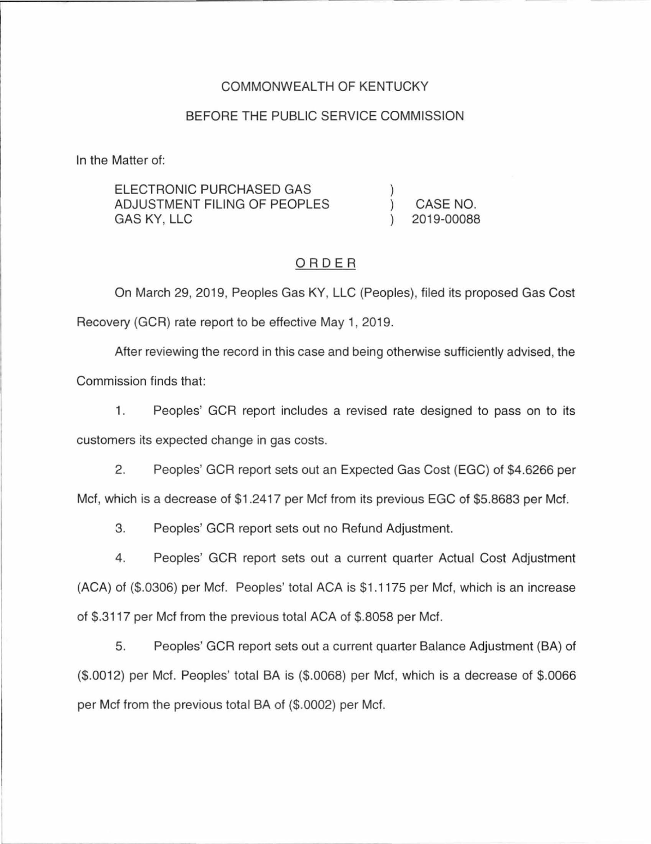## COMMONWEAL TH OF KENTUCKY

#### BEFORE THE PUBLIC SERVICE COMMISSION

In the Matter of:

| ELECTRONIC PURCHASED GAS     |            |
|------------------------------|------------|
| ADJUSTMENT FILING OF PEOPLES | CASE NO.   |
| GAS KY, LLC                  | 2019-00088 |

#### ORDER

On March 29, 2019, Peoples Gas KY, LLC (Peoples), filed its proposed Gas Cost Recovery (GCR) rate report to be effective May 1, 2019.

After reviewing the record in this case and being otherwise sufficiently advised, the

Commission finds that:

1. Peoples' GCR report includes a revised rate designed to pass on to its customers its expected change in gas costs.

2. Peoples' GCR report sets out an Expected Gas Cost (EGC) of \$4.6266 per Met, which is a decrease of \$1 .2417 per Met from its previous EGC of \$5.8683 per Met.

3. Peoples' GCR report sets out no Refund Adjustment.

4. Peoples' GCR report sets out a current quarter Actual Cost Adjustment (ACA) of (\$.0306) per Met. Peoples' total ACA is \$1.1175 per Met, which is an increase of \$.3117 per Met from the previous total ACA of \$.8058 per Met.

5. Peoples' GCR report sets out a current quarter Balance Adjustment (BA) of (\$.0012) per Met. Peoples' total BA is (\$.0068) per Met, which is a decrease of \$.0066 per Met from the previous total BA of (\$.0002) per Met.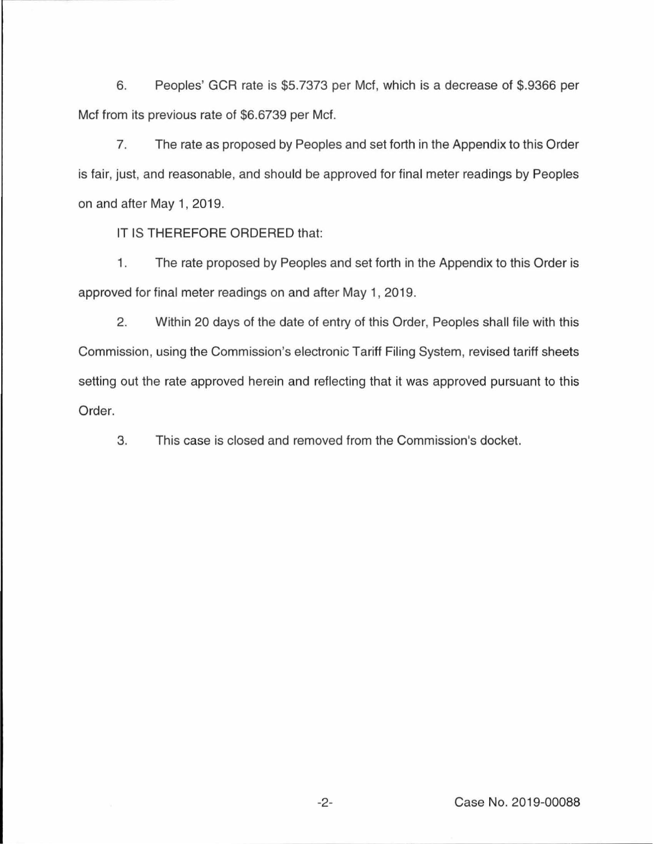6. Peoples' GCR rate is \$5. 7373 per Met, which is a decrease of \$.9366 per Met from its previous rate of \$6.6739 per Met.

7. The rate as proposed by Peoples and set forth in the Appendix to this Order is fair, just, and reasonable, and should be approved for final meter readings by Peoples on and after May 1, 2019.

IT IS THEREFORE ORDERED that:

1. The rate proposed by Peoples and set forth in the Appendix to this Order is approved for final meter readings on and after May 1, 2019.

2. Within 20 days of the date of entry of this Order, Peoples shall file with this Commission, using the Commission's electronic Tariff Filing System, revised tariff sheets setting out the rate approved herein and reflecting that it was approved pursuant to this Order.

3. This case is closed and removed from the Commission's docket.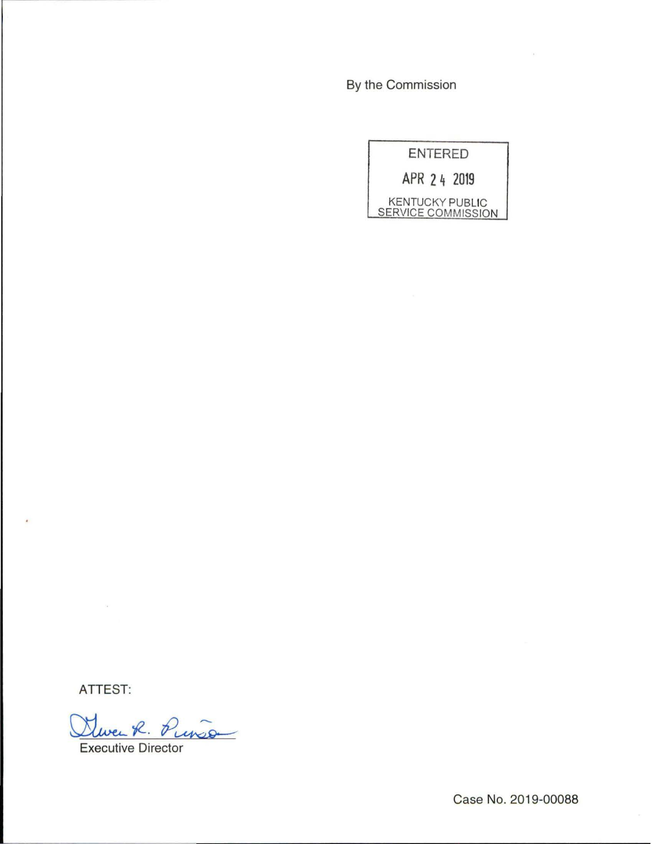By the Commission

| <b>ENTERED</b>                                      |  |
|-----------------------------------------------------|--|
| APR 2 4 2019                                        |  |
| <b>KENTUCKY PUBLIC</b><br><b>SERVICE COMMISSION</b> |  |

ATTEST:

 $\epsilon$ 

Dever R. Punso Executive Director

Case No. 2019-00088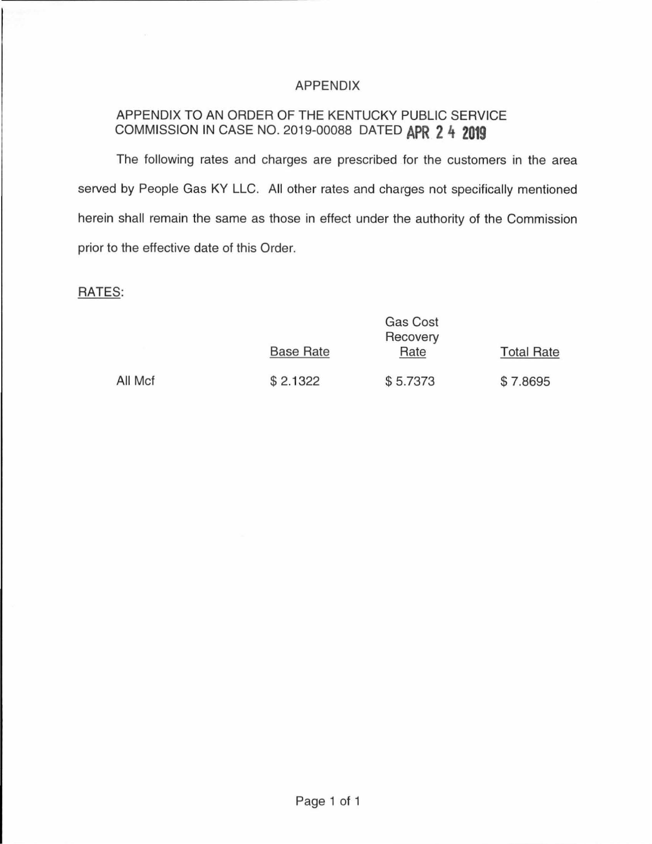## APPENDIX

# APPENDIX TO AN ORDER OF THE KENTUCKY PUBLIC SERVICE COMMISSION IN CASE NO. 2019-00088 DATED **APR 2 4 2019**

The following rates and charges are prescribed for the customers in the area served by People Gas KY LLC. All other rates and charges not specifically mentioned herein shall remain the same as those in effect under the authority of the Commission prior to the effective date of this Order.

## RATES:

|         | Gas Cost<br>Recovery |          |                   |
|---------|----------------------|----------|-------------------|
|         | <b>Base Rate</b>     | Rate     | <b>Total Rate</b> |
| All Mcf | \$2.1322             | \$5.7373 | \$7.8695          |